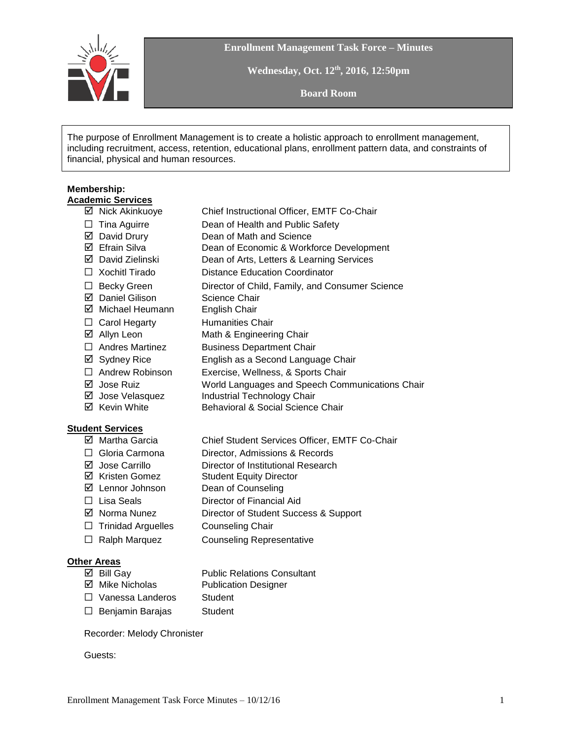

**Enrollment Management Task Force – Minutes**

**Wednesday, Oct. 12th , 2016, 12:50pm**

**Board Room**

The purpose of Enrollment Management is to create a holistic approach to enrollment management, including recruitment, access, retention, educational plans, enrollment pattern data, and constraints of financial, physical and human resources.

#### **Membership: Academic Services**

- Nick Akinkuoye Chief Instructional Officer, EMTF Co-Chair ☐ Tina Aguirre Dean of Health and Public Safety ■ David Drury Dean of Math and Science Efrain Silva Dean of Economic & Workforce Development
- David Zielinski Dean of Arts, Letters & Learning Services
- ☐ Xochitl Tirado Distance Education Coordinator
- ☐ Becky Green Director of Child, Family, and Consumer Science
- $\boxtimes$  Daniel Gilison Science Chair
- Michael Heumann English Chair
- □ Carol Hegarty Humanities Chair
- $\boxtimes$  Allyn Leon Math & Engineering Chair
- □ Andres Martinez Business Department Chair
- Sydney Rice English as a Second Language Chair
- 
- ☐ Andrew Robinson Exercise, Wellness, & Sports Chair
- Jose Ruiz World Languages and Speech Communications Chair
- $\boxtimes$  Jose Velasquez Industrial Technology Chair
- $\boxtimes$  Kevin White Behavioral & Social Science Chair

# **Student Services**

- Martha Garcia Chief Student Services Officer, EMTF Co-Chair ☐ Gloria Carmona Director, Admissions & Records  $\boxtimes$  Jose Carrillo Director of Institutional Research **Ø** Kristen Gomez Student Equity Director  $\boxed{ }$  Lennor Johnson Dean of Counseling ☐ Lisa Seals Director of Financial Aid Norma Nunez Director of Student Success & Support
- ☐ Trinidad Arguelles Counseling Chair
- ☐ Ralph Marquez Counseling Representative

### **Other Areas**

| $\boxtimes$ Bill Gay    | <b>Public Relations Consultant</b> |
|-------------------------|------------------------------------|
| ☑ Mike Nicholas         | <b>Publication Designer</b>        |
| $\Box$ Vanessa Landeros | Student                            |
| $\Box$ Benjamin Barajas | Student                            |

#### Recorder: Melody Chronister

Guests: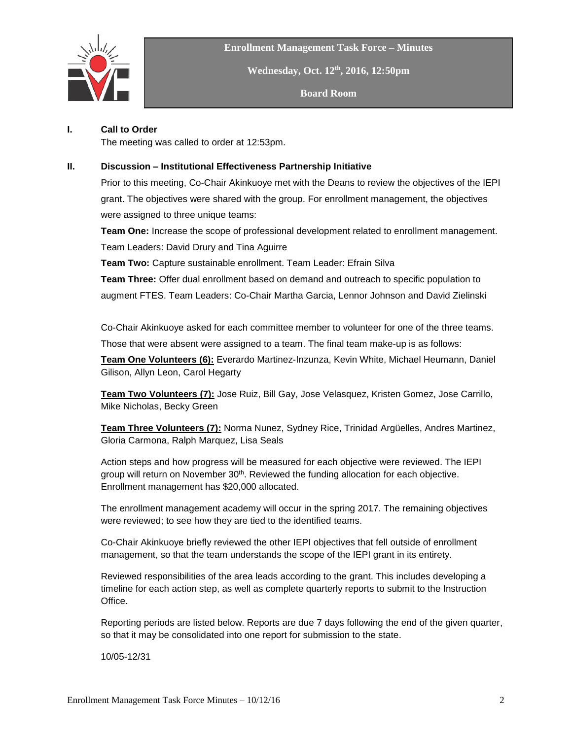

**Enrollment Management Task Force – Minutes**

**Wednesday, Oct. 12th , 2016, 12:50pm**

**Board Room**

## **I. Call to Order**

The meeting was called to order at 12:53pm.

### **II. Discussion – Institutional Effectiveness Partnership Initiative**

Prior to this meeting, Co-Chair Akinkuoye met with the Deans to review the objectives of the IEPI grant. The objectives were shared with the group. For enrollment management, the objectives were assigned to three unique teams:

**Team One:** Increase the scope of professional development related to enrollment management. Team Leaders: David Drury and Tina Aguirre

**Team Two:** Capture sustainable enrollment. Team Leader: Efrain Silva

**Team Three:** Offer dual enrollment based on demand and outreach to specific population to augment FTES. Team Leaders: Co-Chair Martha Garcia, Lennor Johnson and David Zielinski

Co-Chair Akinkuoye asked for each committee member to volunteer for one of the three teams.

Those that were absent were assigned to a team. The final team make-up is as follows:

**Team One Volunteers (6):** Everardo Martinez-Inzunza, Kevin White, Michael Heumann, Daniel Gilison, Allyn Leon, Carol Hegarty

**Team Two Volunteers (7):** Jose Ruiz, Bill Gay, Jose Velasquez, Kristen Gomez, Jose Carrillo, Mike Nicholas, Becky Green

**Team Three Volunteers (7):** Norma Nunez, Sydney Rice, Trinidad Argüelles, Andres Martinez, Gloria Carmona, Ralph Marquez, Lisa Seals

Action steps and how progress will be measured for each objective were reviewed. The IEPI group will return on November  $30<sup>th</sup>$ . Reviewed the funding allocation for each objective. Enrollment management has \$20,000 allocated.

The enrollment management academy will occur in the spring 2017. The remaining objectives were reviewed; to see how they are tied to the identified teams.

Co-Chair Akinkuoye briefly reviewed the other IEPI objectives that fell outside of enrollment management, so that the team understands the scope of the IEPI grant in its entirety.

Reviewed responsibilities of the area leads according to the grant. This includes developing a timeline for each action step, as well as complete quarterly reports to submit to the Instruction Office.

Reporting periods are listed below. Reports are due 7 days following the end of the given quarter, so that it may be consolidated into one report for submission to the state.

10/05-12/31